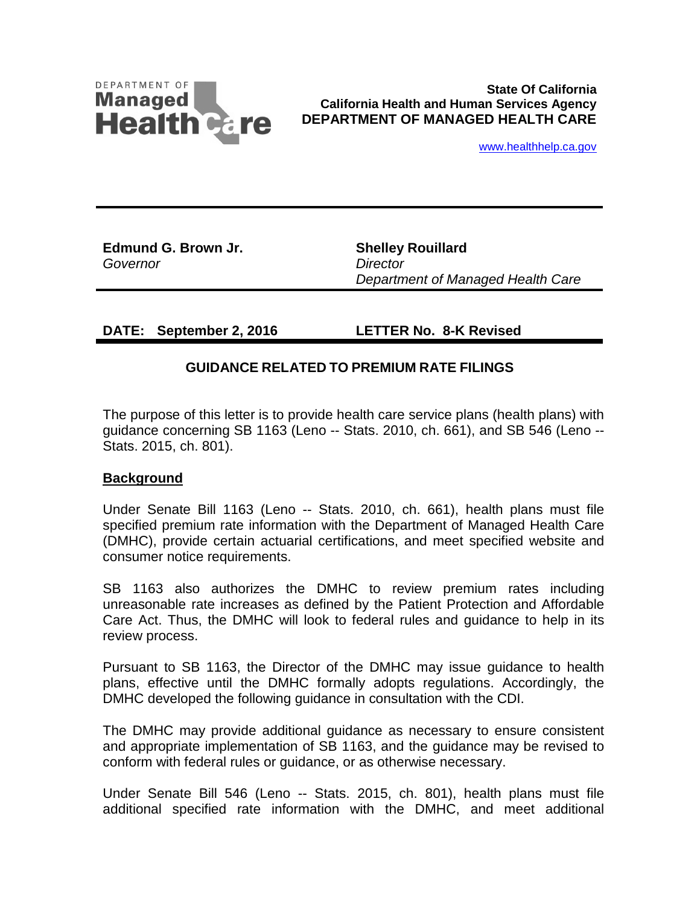

**State Of California California Health and Human Services Agency DEPARTMENT OF MANAGED HEALTH CARE**

www.healthhelp.ca.gov

**Edmund G. Brown Jr.**  *Governor*

**Shelley Rouillard** *Director Department of Managed Health Care*

**DATE: September 2, 2016 LETTER No. 8-K Revised**

## **GUIDANCE RELATED TO PREMIUM RATE FILINGS**

The purpose of this letter is to provide health care service plans (health plans) with guidance concerning SB 1163 (Leno -- Stats. 2010, ch. 661), and SB 546 (Leno -- Stats. 2015, ch. 801).

#### **Background**

Under Senate Bill 1163 (Leno -- Stats. 2010, ch. 661), health plans must file specified premium rate information with the Department of Managed Health Care (DMHC), provide certain actuarial certifications, and meet specified website and consumer notice requirements.

SB 1163 also authorizes the DMHC to review premium rates including unreasonable rate increases as defined by the Patient Protection and Affordable Care Act. Thus, the DMHC will look to federal rules and guidance to help in its review process.

Pursuant to SB 1163, the Director of the DMHC may issue guidance to health plans, effective until the DMHC formally adopts regulations. Accordingly, the DMHC developed the following guidance in consultation with the CDI.

The DMHC may provide additional guidance as necessary to ensure consistent and appropriate implementation of SB 1163, and the guidance may be revised to conform with federal rules or guidance, or as otherwise necessary.

Under Senate Bill 546 (Leno -- Stats. 2015, ch. 801), health plans must file additional specified rate information with the DMHC, and meet additional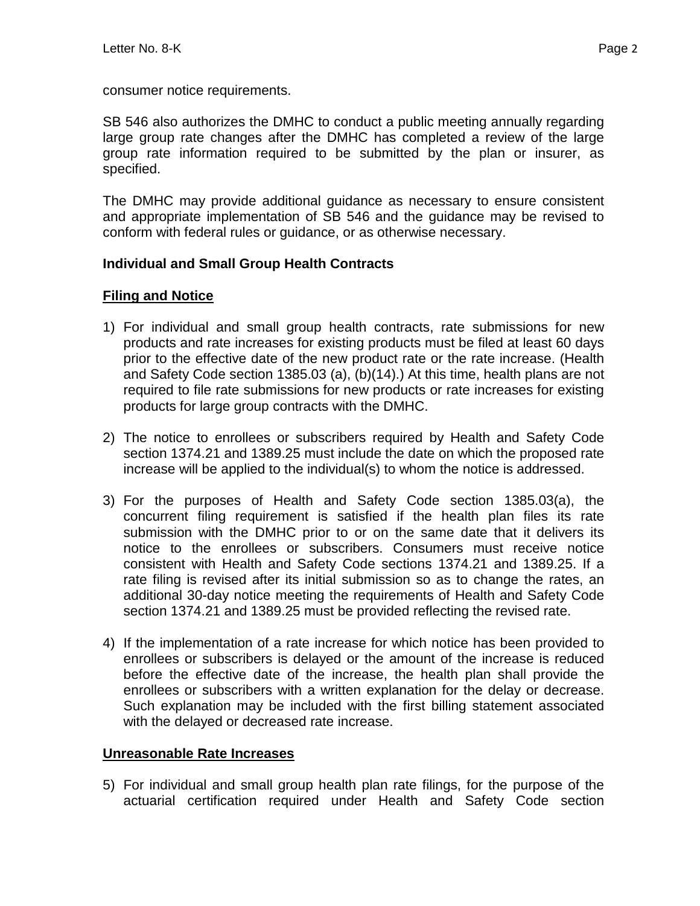consumer notice requirements.

SB 546 also authorizes the DMHC to conduct a public meeting annually regarding large group rate changes after the DMHC has completed a review of the large group rate information required to be submitted by the plan or insurer, as specified.

The DMHC may provide additional guidance as necessary to ensure consistent and appropriate implementation of SB 546 and the guidance may be revised to conform with federal rules or guidance, or as otherwise necessary.

## **Individual and Small Group Health Contracts**

# **Filing and Notice**

- 1) For individual and small group health contracts, rate submissions for new products and rate increases for existing products must be filed at least 60 days prior to the effective date of the new product rate or the rate increase. (Health and Safety Code section 1385.03 (a), (b)(14).) At this time, health plans are not required to file rate submissions for new products or rate increases for existing products for large group contracts with the DMHC.
- 2) The notice to enrollees or subscribers required by Health and Safety Code section 1374.21 and 1389.25 must include the date on which the proposed rate increase will be applied to the individual(s) to whom the notice is addressed.
- 3) For the purposes of Health and Safety Code section 1385.03(a), the concurrent filing requirement is satisfied if the health plan files its rate submission with the DMHC prior to or on the same date that it delivers its notice to the enrollees or subscribers. Consumers must receive notice consistent with Health and Safety Code sections 1374.21 and 1389.25. If a rate filing is revised after its initial submission so as to change the rates, an additional 30-day notice meeting the requirements of Health and Safety Code section 1374.21 and 1389.25 must be provided reflecting the revised rate.
- 4) If the implementation of a rate increase for which notice has been provided to enrollees or subscribers is delayed or the amount of the increase is reduced before the effective date of the increase, the health plan shall provide the enrollees or subscribers with a written explanation for the delay or decrease. Such explanation may be included with the first billing statement associated with the delayed or decreased rate increase.

# **Unreasonable Rate Increases**

5) For individual and small group health plan rate filings, for the purpose of the actuarial certification required under Health and Safety Code section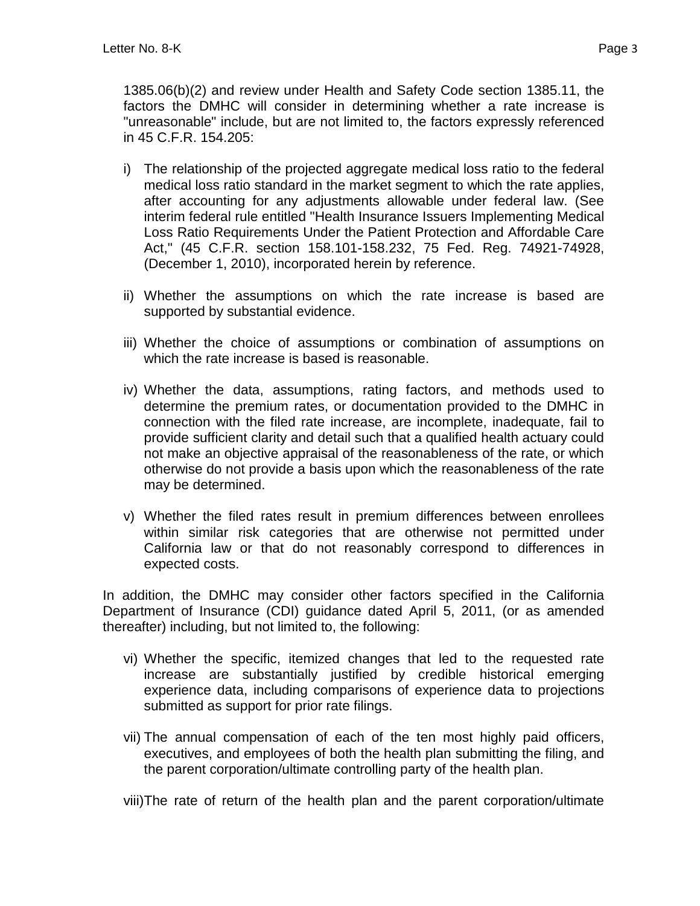1385.06(b)(2) and review under Health and Safety Code section 1385.11, the factors the DMHC will consider in determining whether a rate increase is "unreasonable" include, but are not limited to, the factors expressly referenced in 45 C.F.R. 154.205:

- i) The relationship of the projected aggregate medical loss ratio to the federal medical loss ratio standard in the market segment to which the rate applies, after accounting for any adjustments allowable under federal law. (See interim federal rule entitled "Health Insurance Issuers Implementing Medical Loss Ratio Requirements Under the Patient Protection and Affordable Care Act," (45 C.F.R. section 158.101-158.232, 75 Fed. Reg. 74921-74928, (December 1, 2010), incorporated herein by reference.
- ii) Whether the assumptions on which the rate increase is based are supported by substantial evidence.
- iii) Whether the choice of assumptions or combination of assumptions on which the rate increase is based is reasonable.
- iv) Whether the data, assumptions, rating factors, and methods used to determine the premium rates, or documentation provided to the DMHC in connection with the filed rate increase, are incomplete, inadequate, fail to provide sufficient clarity and detail such that a qualified health actuary could not make an objective appraisal of the reasonableness of the rate, or which otherwise do not provide a basis upon which the reasonableness of the rate may be determined.
- v) Whether the filed rates result in premium differences between enrollees within similar risk categories that are otherwise not permitted under California law or that do not reasonably correspond to differences in expected costs.

In addition, the DMHC may consider other factors specified in the California Department of Insurance (CDI) guidance dated April 5, 2011, (or as amended thereafter) including, but not limited to, the following:

- vi) Whether the specific, itemized changes that led to the requested rate increase are substantially justified by credible historical emerging experience data, including comparisons of experience data to projections submitted as support for prior rate filings.
- vii) The annual compensation of each of the ten most highly paid officers, executives, and employees of both the health plan submitting the filing, and the parent corporation/ultimate controlling party of the health plan.

viii)The rate of return of the health plan and the parent corporation/ultimate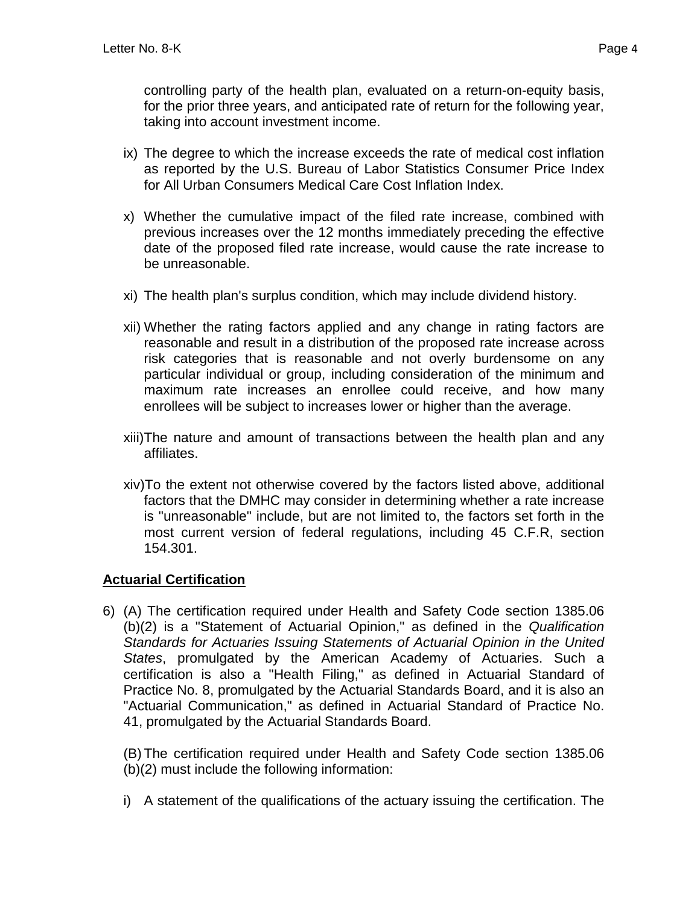controlling party of the health plan, evaluated on a return-on-equity basis, for the prior three years, and anticipated rate of return for the following year, taking into account investment income.

- ix) The degree to which the increase exceeds the rate of medical cost inflation as reported by the U.S. Bureau of Labor Statistics Consumer Price Index for All Urban Consumers Medical Care Cost Inflation Index.
- x) Whether the cumulative impact of the filed rate increase, combined with previous increases over the 12 months immediately preceding the effective date of the proposed filed rate increase, would cause the rate increase to be unreasonable.
- xi) The health plan's surplus condition, which may include dividend history.
- xii) Whether the rating factors applied and any change in rating factors are reasonable and result in a distribution of the proposed rate increase across risk categories that is reasonable and not overly burdensome on any particular individual or group, including consideration of the minimum and maximum rate increases an enrollee could receive, and how many enrollees will be subject to increases lower or higher than the average.
- xiii)The nature and amount of transactions between the health plan and any affiliates.
- xiv)To the extent not otherwise covered by the factors listed above, additional factors that the DMHC may consider in determining whether a rate increase is "unreasonable" include, but are not limited to, the factors set forth in the most current version of federal regulations, including 45 C.F.R, section 154.301.

### **Actuarial Certification**

6) (A) The certification required under Health and Safety Code section 1385.06 (b)(2) is a "Statement of Actuarial Opinion," as defined in the *Qualification Standards for Actuaries Issuing Statements of Actuarial Opinion in the United States*, promulgated by the American Academy of Actuaries. Such a certification is also a "Health Filing," as defined in Actuarial Standard of Practice No. 8, promulgated by the Actuarial Standards Board, and it is also an "Actuarial Communication," as defined in Actuarial Standard of Practice No. 41, promulgated by the Actuarial Standards Board.

(B) The certification required under Health and Safety Code section 1385.06 (b)(2) must include the following information:

i) A statement of the qualifications of the actuary issuing the certification. The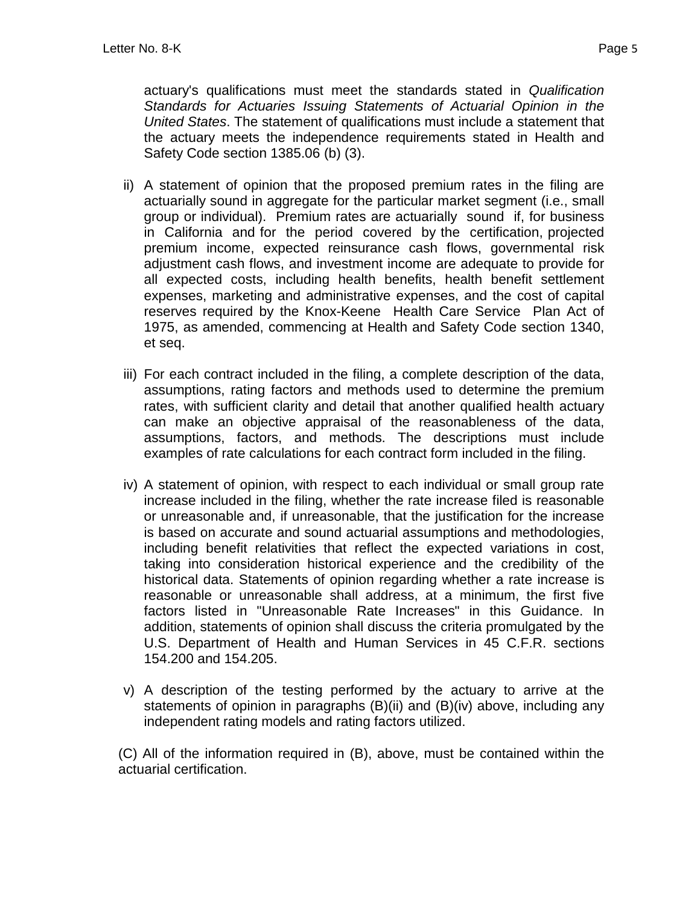actuary's qualifications must meet the standards stated in *Qualification Standards for Actuaries Issuing Statements of Actuarial Opinion in the United States*. The statement of qualifications must include a statement that the actuary meets the independence requirements stated in Health and Safety Code section 1385.06 (b) (3).

- ii) A statement of opinion that the proposed premium rates in the filing are actuarially sound in aggregate for the particular market segment (i.e., small group or individual). Premium rates are actuarially sound if, for business in California and for the period covered by the certification, projected premium income, expected reinsurance cash flows, governmental risk adjustment cash flows, and investment income are adequate to provide for all expected costs, including health benefits, health benefit settlement expenses, marketing and administrative expenses, and the cost of capital reserves required by the Knox-Keene Health Care Service Plan Act of 1975, as amended, commencing at Health and Safety Code section 1340, et seq.
- iii) For each contract included in the filing, a complete description of the data, assumptions, rating factors and methods used to determine the premium rates, with sufficient clarity and detail that another qualified health actuary can make an objective appraisal of the reasonableness of the data, assumptions, factors, and methods. The descriptions must include examples of rate calculations for each contract form included in the filing.
- iv) A statement of opinion, with respect to each individual or small group rate increase included in the filing, whether the rate increase filed is reasonable or unreasonable and, if unreasonable, that the justification for the increase is based on accurate and sound actuarial assumptions and methodologies, including benefit relativities that reflect the expected variations in cost, taking into consideration historical experience and the credibility of the historical data. Statements of opinion regarding whether a rate increase is reasonable or unreasonable shall address, at a minimum, the first five factors listed in "Unreasonable Rate Increases" in this Guidance. In addition, statements of opinion shall discuss the criteria promulgated by the U.S. Department of Health and Human Services in 45 C.F.R. sections 154.200 and 154.205.
- v) A description of the testing performed by the actuary to arrive at the statements of opinion in paragraphs (B)(ii) and (B)(iv) above, including any independent rating models and rating factors utilized.

(C) All of the information required in (B), above, must be contained within the actuarial certification.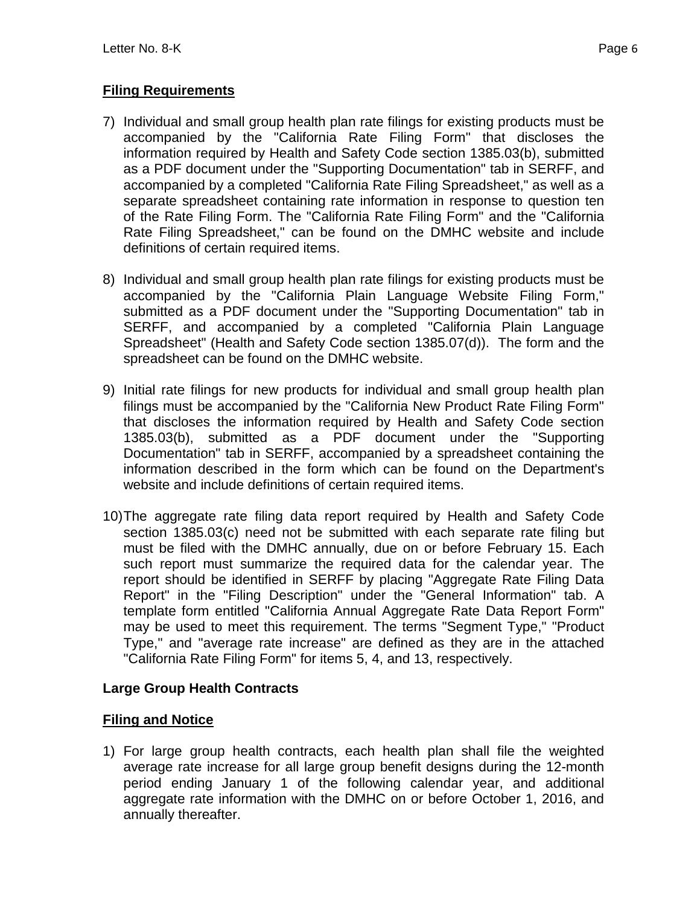## **Filing Requirements**

- 7) Individual and small group health plan rate filings for existing products must be accompanied by the "California Rate Filing Form" that discloses the information required by Health and Safety Code section 1385.03(b), submitted as a PDF document under the "Supporting Documentation" tab in SERFF, and accompanied by a completed "California Rate Filing Spreadsheet," as well as a separate spreadsheet containing rate information in response to question ten of the Rate Filing Form. The "California Rate Filing Form" and the "California Rate Filing Spreadsheet," can be found on the DMHC website and include definitions of certain required items.
- 8) Individual and small group health plan rate filings for existing products must be accompanied by the "California Plain Language Website Filing Form," submitted as a PDF document under the "Supporting Documentation" tab in SERFF, and accompanied by a completed "California Plain Language Spreadsheet" (Health and Safety Code section 1385.07(d)). The form and the spreadsheet can be found on the DMHC website.
- 9) Initial rate filings for new products for individual and small group health plan filings must be accompanied by the "California New Product Rate Filing Form" that discloses the information required by Health and Safety Code section 1385.03(b), submitted as a PDF document under the "Supporting Documentation" tab in SERFF, accompanied by a spreadsheet containing the information described in the form which can be found on the Department's website and include definitions of certain required items.
- 10)The aggregate rate filing data report required by Health and Safety Code section 1385.03(c) need not be submitted with each separate rate filing but must be filed with the DMHC annually, due on or before February 15. Each such report must summarize the required data for the calendar year. The report should be identified in SERFF by placing "Aggregate Rate Filing Data Report" in the "Filing Description" under the "General Information" tab. A template form entitled "California Annual Aggregate Rate Data Report Form" may be used to meet this requirement. The terms "Segment Type," "Product Type," and "average rate increase" are defined as they are in the attached "California Rate Filing Form" for items 5, 4, and 13, respectively.

## **Large Group Health Contracts**

## **Filing and Notice**

1) For large group health contracts, each health plan shall file the weighted average rate increase for all large group benefit designs during the 12-month period ending January 1 of the following calendar year, and additional aggregate rate information with the DMHC on or before October 1, 2016, and annually thereafter.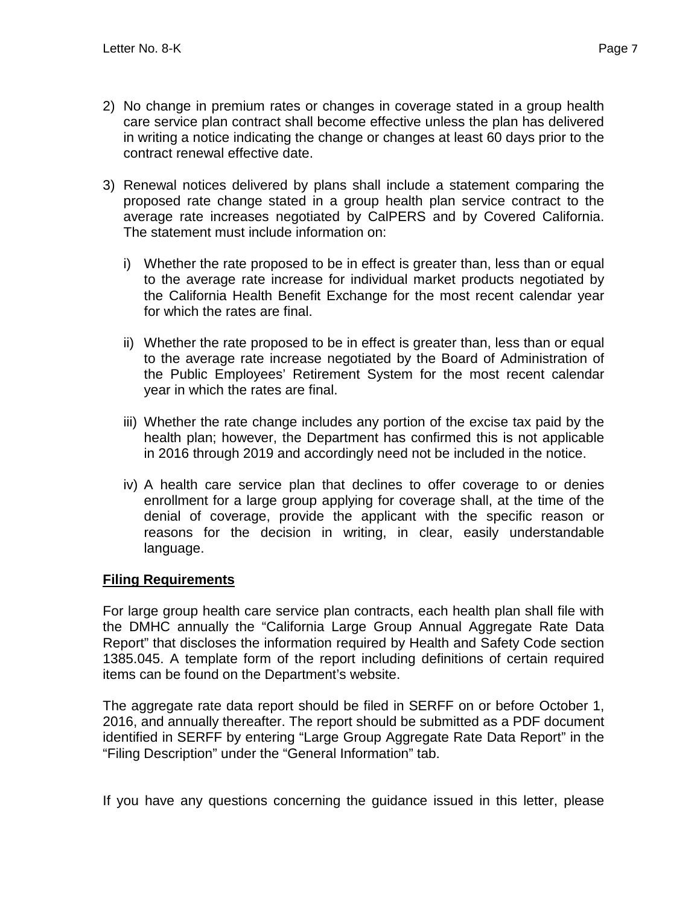- 2) No change in premium rates or changes in coverage stated in a group health care service plan contract shall become effective unless the plan has delivered in writing a notice indicating the change or changes at least 60 days prior to the contract renewal effective date.
- 3) Renewal notices delivered by plans shall include a statement comparing the proposed rate change stated in a group health plan service contract to the average rate increases negotiated by CalPERS and by Covered California. The statement must include information on:
	- i) Whether the rate proposed to be in effect is greater than, less than or equal to the average rate increase for individual market products negotiated by the California Health Benefit Exchange for the most recent calendar year for which the rates are final.
	- ii) Whether the rate proposed to be in effect is greater than, less than or equal to the average rate increase negotiated by the Board of Administration of the Public Employees' Retirement System for the most recent calendar year in which the rates are final.
	- iii) Whether the rate change includes any portion of the excise tax paid by the health plan; however, the Department has confirmed this is not applicable in 2016 through 2019 and accordingly need not be included in the notice.
	- iv) A health care service plan that declines to offer coverage to or denies enrollment for a large group applying for coverage shall, at the time of the denial of coverage, provide the applicant with the specific reason or reasons for the decision in writing, in clear, easily understandable language.

## **Filing Requirements**

For large group health care service plan contracts, each health plan shall file with the DMHC annually the "California Large Group Annual Aggregate Rate Data Report" that discloses the information required by Health and Safety Code section 1385.045. A template form of the report including definitions of certain required items can be found on the Department's website.

The aggregate rate data report should be filed in SERFF on or before October 1, 2016, and annually thereafter. The report should be submitted as a PDF document identified in SERFF by entering "Large Group Aggregate Rate Data Report" in the "Filing Description" under the "General Information" tab.

If you have any questions concerning the guidance issued in this letter, please